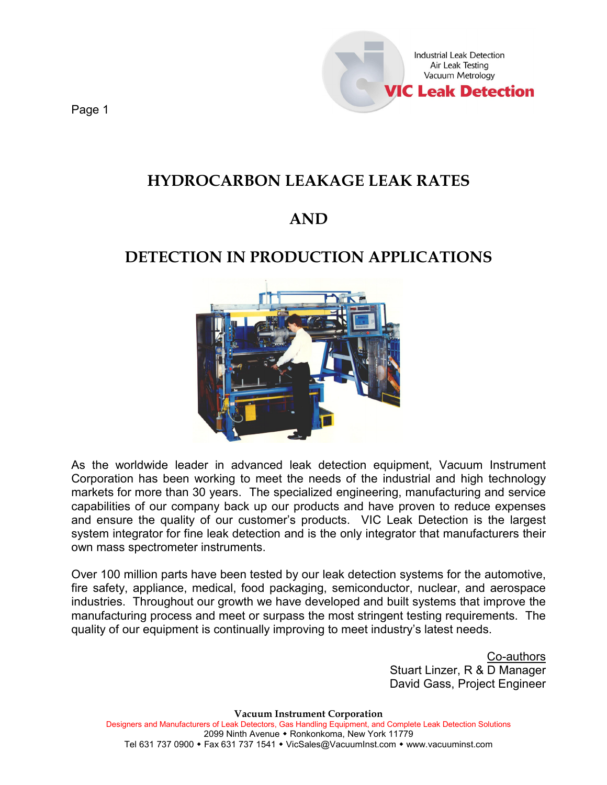

# **HYDROCARBON LEAKAGE LEAK RATES**

# **AND**

# **DETECTION IN PRODUCTION APPLICATIONS**



As the worldwide leader in advanced leak detection equipment, Vacuum Instrument Corporation has been working to meet the needs of the industrial and high technology markets for more than 30 years. The specialized engineering, manufacturing and service capabilities of our company back up our products and have proven to reduce expenses and ensure the quality of our customer's products. VIC Leak Detection is the largest system integrator for fine leak detection and is the only integrator that manufacturers their own mass spectrometer instruments.

Over 100 million parts have been tested by our leak detection systems for the automotive, fire safety, appliance, medical, food packaging, semiconductor, nuclear, and aerospace industries. Throughout our growth we have developed and built systems that improve the manufacturing process and meet or surpass the most stringent testing requirements. The quality of our equipment is continually improving to meet industry's latest needs.

> Co-authors Stuart Linzer, R & D Manager David Gass, Project Engineer

**Vacuum Instrument Corporation** Designers and Manufacturers of Leak Detectors, Gas Handling Equipment, and Complete Leak Detection Solutions 2099 Ninth Avenue • Ronkonkoma, New York 11779 Tel 631 737 0900 • Fax 631 737 1541 • VicSales@VacuumInst.com • [www.vacuuminst.com](http://www.vacuuminst.com/)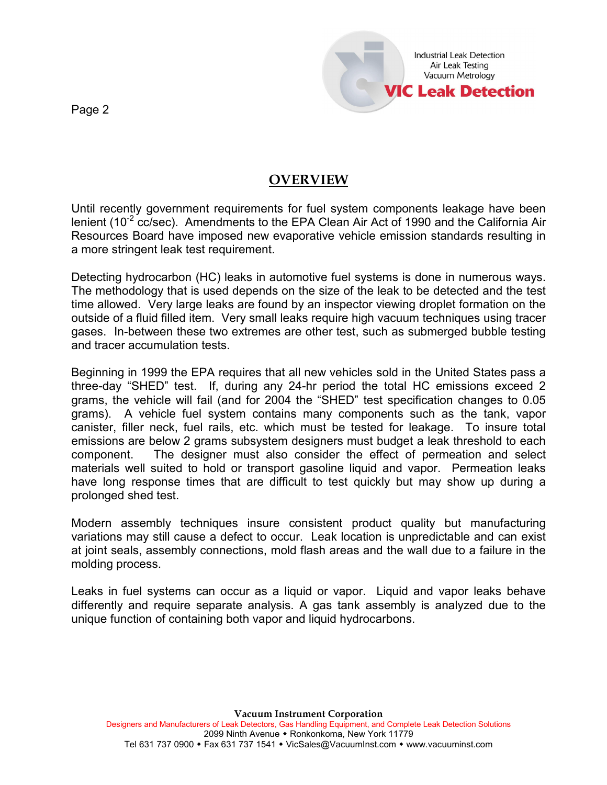

## **OVERVIEW**

Until recently government requirements for fuel system components leakage have been lenient (10<sup>-2</sup> cc/sec). Amendments to the EPA Clean Air Act of 1990 and the California Air Resources Board have imposed new evaporative vehicle emission standards resulting in a more stringent leak test requirement.

Detecting hydrocarbon (HC) leaks in automotive fuel systems is done in numerous ways. The methodology that is used depends on the size of the leak to be detected and the test time allowed. Very large leaks are found by an inspector viewing droplet formation on the outside of a fluid filled item. Very small leaks require high vacuum techniques using tracer gases. In-between these two extremes are other test, such as submerged bubble testing and tracer accumulation tests.

Beginning in 1999 the EPA requires that all new vehicles sold in the United States pass a three-day "SHED" test. If, during any 24-hr period the total HC emissions exceed 2 grams, the vehicle will fail (and for 2004 the "SHED" test specification changes to 0.05 grams). A vehicle fuel system contains many components such as the tank, vapor canister, filler neck, fuel rails, etc. which must be tested for leakage. To insure total emissions are below 2 grams subsystem designers must budget a leak threshold to each component. The designer must also consider the effect of permeation and select materials well suited to hold or transport gasoline liquid and vapor. Permeation leaks have long response times that are difficult to test quickly but may show up during a prolonged shed test.

Modern assembly techniques insure consistent product quality but manufacturing variations may still cause a defect to occur. Leak location is unpredictable and can exist at joint seals, assembly connections, mold flash areas and the wall due to a failure in the molding process.

Leaks in fuel systems can occur as a liquid or vapor. Liquid and vapor leaks behave differently and require separate analysis. A gas tank assembly is analyzed due to the unique function of containing both vapor and liquid hydrocarbons.

Page 2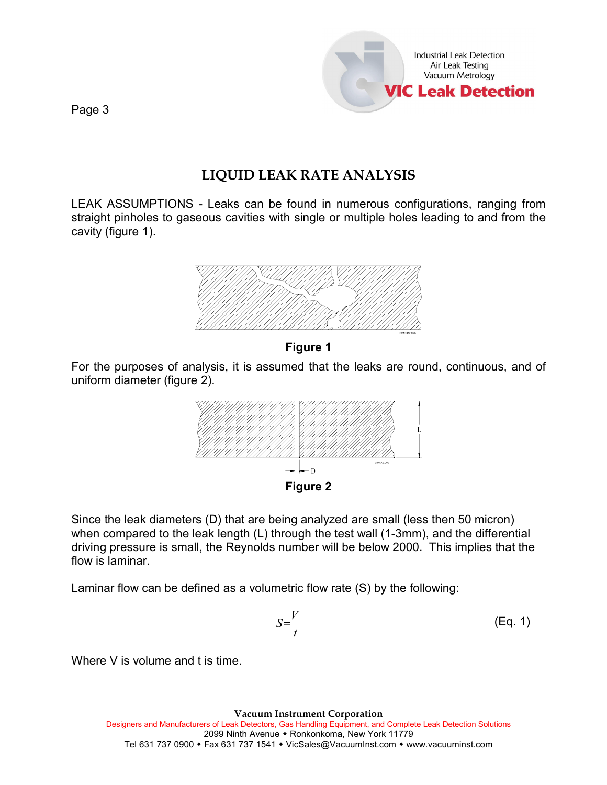

## **LIQUID LEAK RATE ANALYSIS**

LEAK ASSUMPTIONS - Leaks can be found in numerous configurations, ranging from straight pinholes to gaseous cavities with single or multiple holes leading to and from the cavity (figure 1).



**Figure 1**

For the purposes of analysis, it is assumed that the leaks are round, continuous, and of uniform diameter (figure 2).



Since the leak diameters (D) that are being analyzed are small (less then 50 micron) when compared to the leak length (L) through the test wall (1-3mm), and the differential driving pressure is small, the Reynolds number will be below 2000. This implies that the flow is laminar.

Laminar flow can be defined as a volumetric flow rate (S) by the following:

$$
S=\frac{V}{t}
$$
 (Eq. 1)

Where V is volume and t is time.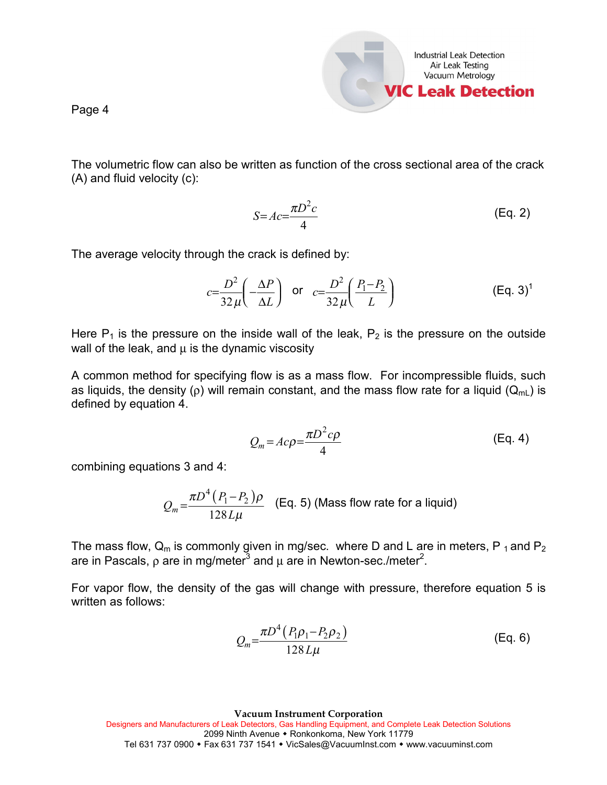

The volumetric flow can also be written as function of the cross sectional area of the crack (A) and fluid velocity (c):

$$
S = Ac = \frac{\pi D^2 c}{4}
$$
 (Eq. 2)

The average velocity through the crack is defined by:

$$
c = \frac{D^2}{32\,\mu} \left( -\frac{\Delta P}{\Delta L} \right) \quad \text{or} \quad c = \frac{D^2}{32\,\mu} \left( \frac{P_1 - P_2}{L} \right) \tag{Eq. 3}^1
$$

Here  $P_1$  is the pressure on the inside wall of the leak,  $P_2$  is the pressure on the outside wall of the leak, and  $\mu$  is the dynamic viscosity

A common method for specifying flow is as a mass flow. For incompressible fluids, such as liquids, the density (ρ) will remain constant, and the mass flow rate for a liquid ( $Q_{mL}$ ) is defined by equation 4.

$$
Q_m = Ac\rho = \frac{\pi D^2 c\rho}{4}
$$
 (Eq. 4)

combining equations 3 and 4:

$$
Q_m = \frac{\pi D^4 (P_1 - P_2)\rho}{128 L \mu}
$$
 (Eq. 5) (Mass flow rate for a liquid)

The mass flow,  $Q_m$  is commonly given in mg/sec. where D and L are in meters, P<sub>1</sub> and P<sub>2</sub> are in Pascals, ρ are in mg/meter $^3$  and  $\mu$  are in Newton-sec./meter $^2$ .

For vapor flow, the density of the gas will change with pressure, therefore equation 5 is written as follows:

$$
Q_m = \frac{\pi D^4 (P_1 \rho_1 - P_2 \rho_2)}{128 L \mu}
$$
 (Eq. 6)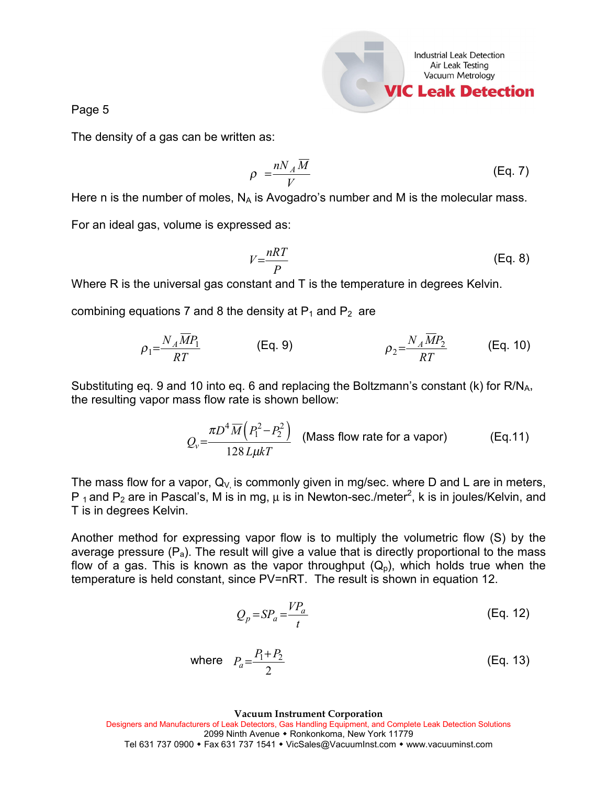

The density of a gas can be written as:

$$
\rho = \frac{n N_A \overline{M}}{V}
$$
 (Eq. 7)

Here n is the number of moles,  $N_A$  is Avogadro's number and M is the molecular mass.

For an ideal gas, volume is expressed as:

$$
V = \frac{nRT}{P}
$$
 (Eq. 8)

Where R is the universal gas constant and T is the temperature in degrees Kelvin.

combining equations 7 and 8 the density at  $P_1$  and  $P_2$  are

$$
\rho_1 = \frac{N_A \overline{M} P_1}{RT}
$$
 (Eq. 9) 
$$
\rho_2 = \frac{N_A \overline{M} P_2}{RT}
$$
 (Eq. 10)

Substituting eq. 9 and 10 into eq. 6 and replacing the Boltzmann's constant (k) for  $R/N_A$ , the resulting vapor mass flow rate is shown bellow:

$$
Q_v = \frac{\pi D^4 \overline{M} \left( P_1^2 - P_2^2 \right)}{128 \, \mu k T}
$$
 (Mass flow rate for a vapor) (Eq.11)

The mass flow for a vapor,  $Q_V$  is commonly given in mg/sec. where D and L are in meters, P<sub>1</sub> and P<sub>2</sub> are in Pascal's, M is in mg,  $\mu$  is in Newton-sec./meter<sup>2</sup>, k is in joules/Kelvin, and T is in degrees Kelvin.

Another method for expressing vapor flow is to multiply the volumetric flow (S) by the average pressure  $(P_a)$ . The result will give a value that is directly proportional to the mass flow of a gas. This is known as the vapor throughput  $(Q_p)$ , which holds true when the temperature is held constant, since PV=nRT. The result is shown in equation 12.

$$
Q_p = SP_a = \frac{VP_a}{t}
$$
 (Eq. 12)

where 
$$
P_a = \frac{P_1 + P_2}{2}
$$
 (Eq. 13)

**Vacuum Instrument Corporation**

Designers and Manufacturers of Leak Detectors, Gas Handling Equipment, and Complete Leak Detection Solutions 2099 Ninth Avenue • Ronkonkoma, New York 11779

Tel 631 737 0900 Fax 631 737 1541 VicSales@VacuumInst.com  [www.vacuuminst.com](http://www.vacuuminst.com/)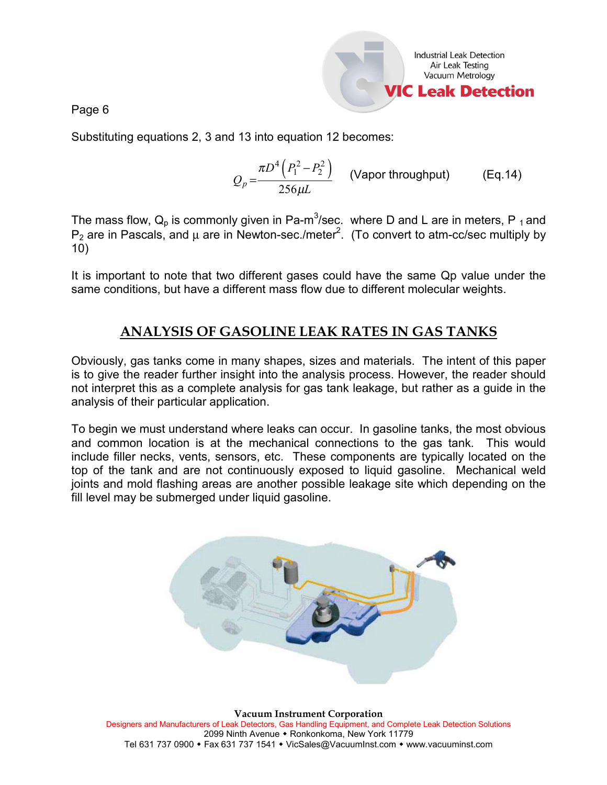

Substituting equations 2, 3 and 13 into equation 12 becomes:

$$
Q_p = \frac{\pi D^4 \left( P_1^2 - P_2^2 \right)}{256 \mu L}
$$
 (Vapor throughout) (Eq.14)

The mass flow,  $\mathsf{Q}_\mathsf{p}$  is commonly given in Pa-m<sup>3</sup>/sec. where D and L are in meters, P <sub>1</sub> and  $P_2$  are in Pascals, and  $\mu$  are in Newton-sec./meter<sup>2</sup>. (To convert to atm-cc/sec multiply by 10)

It is important to note that two different gases could have the same Qp value under the same conditions, but have a different mass flow due to different molecular weights.

## **ANALYSIS OF GASOLINE LEAK RATES IN GAS TANKS**

Obviously, gas tanks come in many shapes, sizes and materials. The intent of this paper is to give the reader further insight into the analysis process. However, the reader should not interpret this as a complete analysis for gas tank leakage, but rather as a guide in the analysis of their particular application.

To begin we must understand where leaks can occur. In gasoline tanks, the most obvious and common location is at the mechanical connections to the gas tank. This would include filler necks, vents, sensors, etc. These components are typically located on the top of the tank and are not continuously exposed to liquid gasoline. Mechanical weld joints and mold flashing areas are another possible leakage site which depending on the fill level may be submerged under liquid gasoline.



**Vacuum Instrument Corporation** Designers and Manufacturers of Leak Detectors, Gas Handling Equipment, and Complete Leak Detection Solutions 2099 Ninth Avenue • Ronkonkoma, New York 11779 Tel 631 737 0900 Fax 631 737 1541 VicSales@VacuumInst.com  [www.vacuuminst.com](http://www.vacuuminst.com/)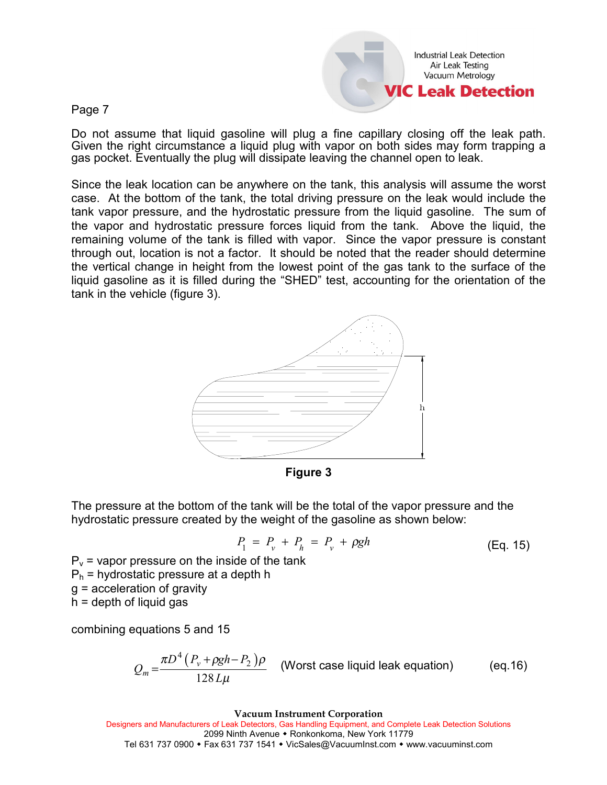Industrial Leak Detection Air Leak Testing Vacuum Metrology **IC Leak Detection** 

Page 7

Do not assume that liquid gasoline will plug a fine capillary closing off the leak path. Given the right circumstance a liquid plug with vapor on both sides may form trapping a gas pocket. Eventually the plug will dissipate leaving the channel open to leak.

Since the leak location can be anywhere on the tank, this analysis will assume the worst case. At the bottom of the tank, the total driving pressure on the leak would include the tank vapor pressure, and the hydrostatic pressure from the liquid gasoline. The sum of the vapor and hydrostatic pressure forces liquid from the tank. Above the liquid, the remaining volume of the tank is filled with vapor. Since the vapor pressure is constant through out, location is not a factor. It should be noted that the reader should determine the vertical change in height from the lowest point of the gas tank to the surface of the liquid gasoline as it is filled during the "SHED" test, accounting for the orientation of the tank in the vehicle (figure 3).



**Figure 3**

The pressure at the bottom of the tank will be the total of the vapor pressure and the hydrostatic pressure created by the weight of the gasoline as shown below:

$$
P_1 = P_v + P_h = P_v + \rho g h \tag{Eq. 15}
$$

 $P_v$  = vapor pressure on the inside of the tank  $P_h$  = hydrostatic pressure at a depth h g = acceleration of gravity  $h =$  depth of liquid gas

combining equations 5 and 15

$$
Q_m = \frac{\pi D^4 (P_v + \rho g h - P_2) \rho}{128 L \mu}
$$
 (Worst case liquid leak equation) (eq.16)

**Vacuum Instrument Corporation**

Designers and Manufacturers of Leak Detectors, Gas Handling Equipment, and Complete Leak Detection Solutions 2099 Ninth Avenue • Ronkonkoma, New York 11779 Tel 631 737 0900 • Fax 631 737 1541 • VicSales@VacuumInst.com • [www.vacuuminst.com](http://www.vacuuminst.com/)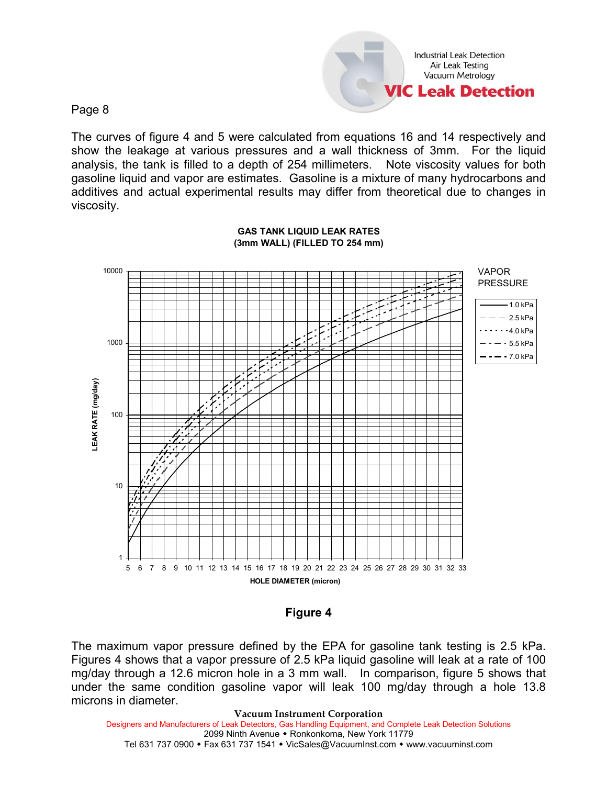Industrial Leak Detection Air Leak Testing Vacuum Metrology **VIC Leak Detection** 

Page 8

The curves of figure 4 and 5 were calculated from equations 16 and 14 respectively and show the leakage at various pressures and a wall thickness of 3mm. For the liquid analysis, the tank is filled to a depth of 254 millimeters. Note viscosity values for both gasoline liquid and vapor are estimates. Gasoline is a mixture of many hydrocarbons and additives and actual experimental results may differ from theoretical due to changes in viscosity.



#### **GAS TANK LIQUID LEAK RATES (3mm WALL) (FILLED TO 254 mm)**

#### **Figure 4**

The maximum vapor pressure defined by the EPA for gasoline tank testing is 2.5 kPa. Figures 4 shows that a vapor pressure of 2.5 kPa liquid gasoline will leak at a rate of 100 mg/day through a 12.6 micron hole in a 3 mm wall. In comparison, figure 5 shows that under the same condition gasoline vapor will leak 100 mg/day through a hole 13.8 microns in diameter.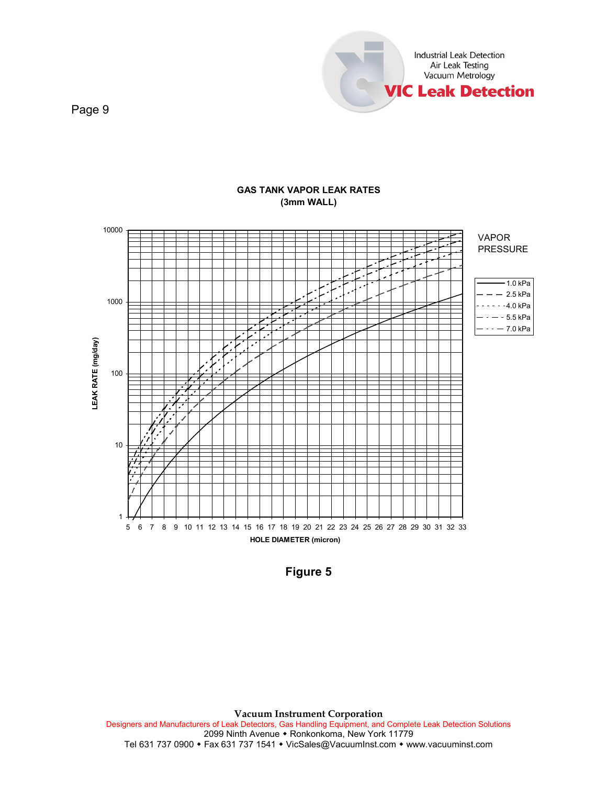



#### **GAS TANK VAPOR LEAK RATES (3mm WALL)**

**Figure 5**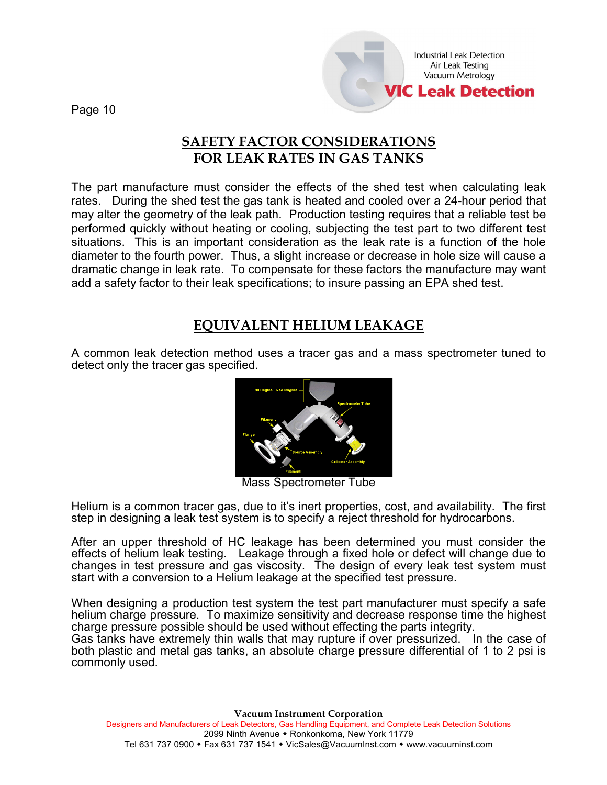Industrial Leak Detection Air Leak Testing Vacuum Metrology **IIC Leak Detection** 

Page 10

## **SAFETY FACTOR CONSIDERATIONS FOR LEAK RATES IN GAS TANKS**

The part manufacture must consider the effects of the shed test when calculating leak rates. During the shed test the gas tank is heated and cooled over a 24-hour period that may alter the geometry of the leak path. Production testing requires that a reliable test be performed quickly without heating or cooling, subjecting the test part to two different test situations. This is an important consideration as the leak rate is a function of the hole diameter to the fourth power. Thus, a slight increase or decrease in hole size will cause a dramatic change in leak rate. To compensate for these factors the manufacture may want add a safety factor to their leak specifications; to insure passing an EPA shed test.

## **EQUIVALENT HELIUM LEAKAGE**

A common leak detection method uses a tracer gas and a mass spectrometer tuned to detect only the tracer gas specified.



Mass Spectrometer Tube

Helium is a common tracer gas, due to it's inert properties, cost, and availability. The first step in designing a leak test system is to specify a reject threshold for hydrocarbons.

After an upper threshold of HC leakage has been determined you must consider the effects of helium leak testing. Leakage through a fixed hole or defect will change due to changes in test pressure and gas viscosity. The design of every leak test system must start with a conversion to a Helium leakage at the specified test pressure.

When designing a production test system the test part manufacturer must specify a safe helium charge pressure. To maximize sensitivity and decrease response time the highest charge pressure possible should be used without effecting the parts integrity. Gas tanks have extremely thin walls that may rupture if over pressurized. In the case of both plastic and metal gas tanks, an absolute charge pressure differential of 1 to 2 psi is commonly used.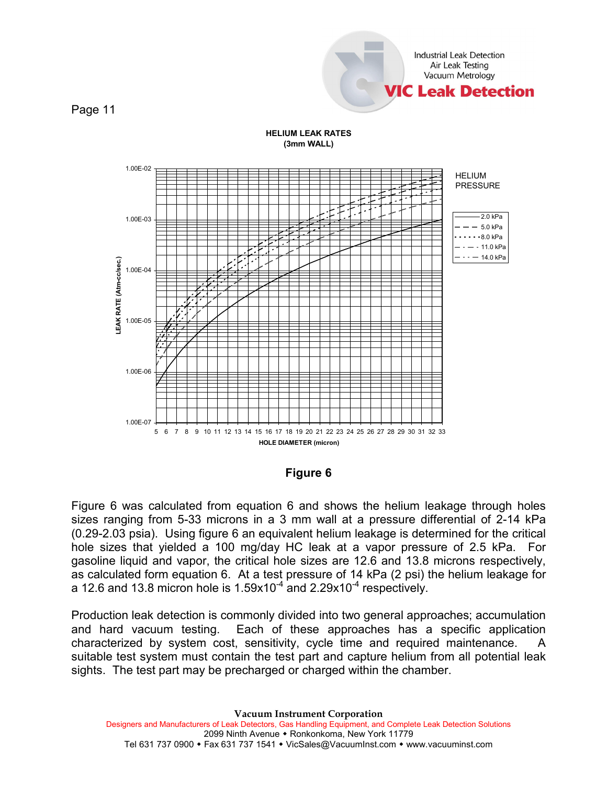

**HELIUM LEAK RATES (3mm WALL)**



**Figure 6**

Figure 6 was calculated from equation 6 and shows the helium leakage through holes sizes ranging from 5-33 microns in a 3 mm wall at a pressure differential of 2-14 kPa (0.29-2.03 psia). Using figure 6 an equivalent helium leakage is determined for the critical hole sizes that yielded a 100 mg/day HC leak at a vapor pressure of 2.5 kPa. For gasoline liquid and vapor, the critical hole sizes are 12.6 and 13.8 microns respectively, as calculated form equation 6. At a test pressure of 14 kPa (2 psi) the helium leakage for a 12.6 and 13.8 micron hole is  $1.59x10^{-4}$  and  $2.29x10^{-4}$  respectively.

Production leak detection is commonly divided into two general approaches; accumulation and hard vacuum testing. Each of these approaches has a specific application characterized by system cost, sensitivity, cycle time and required maintenance. suitable test system must contain the test part and capture helium from all potential leak sights. The test part may be precharged or charged within the chamber.

**Vacuum Instrument Corporation** Designers and Manufacturers of Leak Detectors, Gas Handling Equipment, and Complete Leak Detection Solutions 2099 Ninth Avenue • Ronkonkoma, New York 11779 Tel 631 737 0900 • Fax 631 737 1541 • VicSales@VacuumInst.com • [www.vacuuminst.com](http://www.vacuuminst.com/)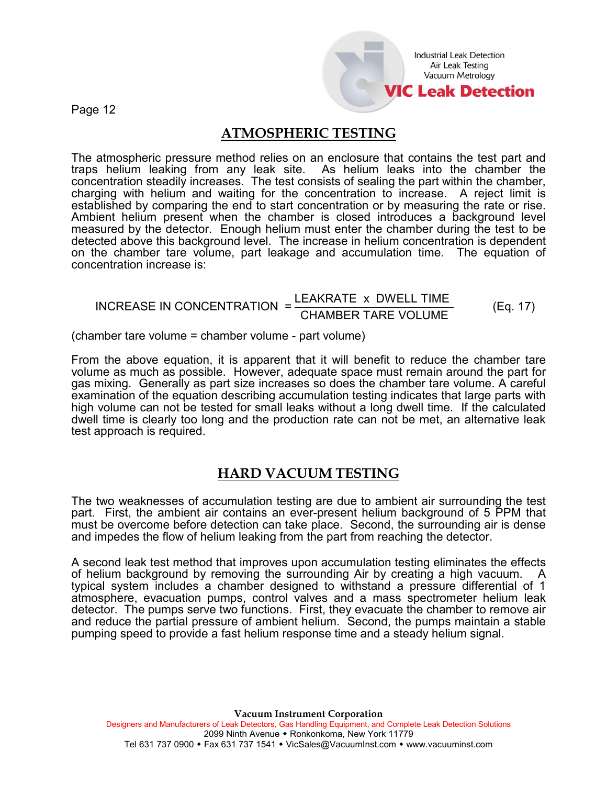Industrial Leak Detection Air Leak Testing Vacuum Metrology **/IC Leak Detection** 

Page 12

### **ATMOSPHERIC TESTING**

The atmospheric pressure method relies on an enclosure that contains the test part and traps helium leaking from any leak site. As helium leaks into the chamber the concentration steadily increases. The test consists of sealing the part within the chamber, charging with helium and waiting for the concentration to increase. A reject limit is established by comparing the end to start concentration or by measuring the rate or rise. Ambient helium present when the chamber is closed introduces a background level measured by the detector. Enough helium must enter the chamber during the test to be detected above this background level. The increase in helium concentration is dependent on the chamber tare volume, part leakage and accumulation time. The equation of concentration increase is:

# INCREASE IN CONCENTRATION  $= \frac{\text{LEAKRATE}}{\text{CHAMBER TARE VOLUME}}$  (Eq. 17)

(chamber tare volume = chamber volume - part volume)

From the above equation, it is apparent that it will benefit to reduce the chamber tare volume as much as possible. However, adequate space must remain around the part for gas mixing. Generally as part size increases so does the chamber tare volume. A careful examination of the equation describing accumulation testing indicates that large parts with high volume can not be tested for small leaks without a long dwell time. If the calculated dwell time is clearly too long and the production rate can not be met, an alternative leak test approach is required.

### **HARD VACUUM TESTING**

The two weaknesses of accumulation testing are due to ambient air surrounding the test part. First, the ambient air contains an ever-present helium background of 5 PPM that must be overcome before detection can take place. Second, the surrounding air is dense and impedes the flow of helium leaking from the part from reaching the detector.

A second leak test method that improves upon accumulation testing eliminates the effects of helium background by removing the surrounding Air by creating a high vacuum. A typical system includes a chamber designed to withstand a pressure differential of 1 atmosphere, evacuation pumps, control valves and a mass spectrometer helium leak detector. The pumps serve two functions. First, they evacuate the chamber to remove air and reduce the partial pressure of ambient helium. Second, the pumps maintain a stable pumping speed to provide a fast helium response time and a steady helium signal.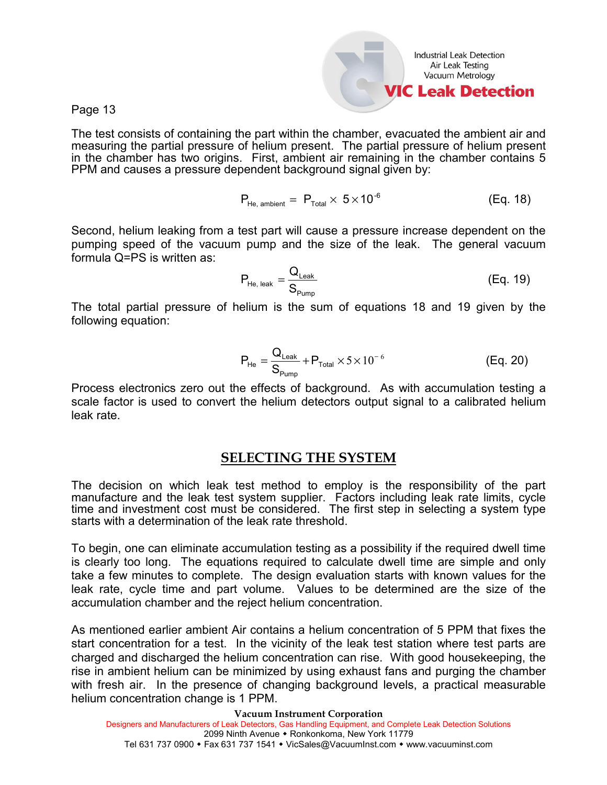Industrial Leak Detection Air Leak Testing Vacuum Metrology **IIC Leak Detection** 

Page 13

The test consists of containing the part within the chamber, evacuated the ambient air and measuring the partial pressure of helium present. The partial pressure of helium present in the chamber has two origins. First, ambient air remaining in the chamber contains 5 PPM and causes a pressure dependent background signal given by:

$$
P_{He,\text{ ambient}} = P_{\text{Total}} \times 5 \times 10^{-6} \tag{Eq. 18}
$$

Second, helium leaking from a test part will cause a pressure increase dependent on the pumping speed of the vacuum pump and the size of the leak. The general vacuum formula Q=PS is written as:

$$
P_{He, leak} = \frac{Q_{Leak}}{S_{Pump}}
$$
 (Eq. 19)

The total partial pressure of helium is the sum of equations 18 and 19 given by the following equation:

$$
P_{He} = \frac{Q_{Leak}}{S_{Pump}} + P_{Total} \times 5 \times 10^{-6}
$$
 (Eq. 20)

Process electronics zero out the effects of background. As with accumulation testing a scale factor is used to convert the helium detectors output signal to a calibrated helium leak rate.

#### **SELECTING THE SYSTEM**

The decision on which leak test method to employ is the responsibility of the part manufacture and the leak test system supplier. Factors including leak rate limits, cycle time and investment cost must be considered. The first step in selecting a system type starts with a determination of the leak rate threshold.

To begin, one can eliminate accumulation testing as a possibility if the required dwell time is clearly too long. The equations required to calculate dwell time are simple and only take a few minutes to complete. The design evaluation starts with known values for the leak rate, cycle time and part volume. Values to be determined are the size of the accumulation chamber and the reject helium concentration.

As mentioned earlier ambient Air contains a helium concentration of 5 PPM that fixes the start concentration for a test. In the vicinity of the leak test station where test parts are charged and discharged the helium concentration can rise. With good housekeeping, the rise in ambient helium can be minimized by using exhaust fans and purging the chamber with fresh air. In the presence of changing background levels, a practical measurable helium concentration change is 1 PPM.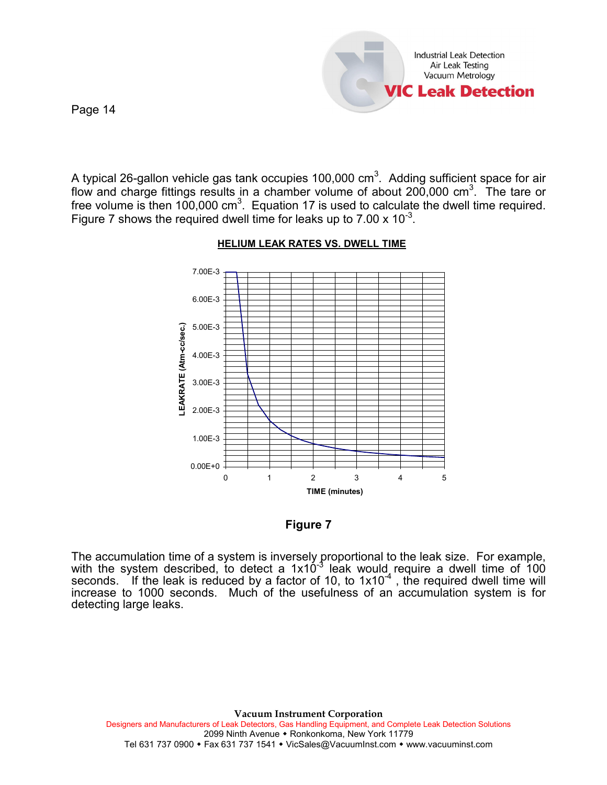

A typical 26-gallon vehicle gas tank occupies 100,000 cm<sup>3</sup>. Adding sufficient space for air flow and charge fittings results in a chamber volume of about 200,000 cm<sup>3</sup>. The tare or free volume is then 100,000 cm<sup>3</sup>. Equation 17 is used to calculate the dwell time required. Figure 7 shows the required dwell time for leaks up to  $7.00 \times 10^{-3}$ .



#### **HELIUM LEAK RATES VS. DWELL TIME**

#### **Figure 7**

The accumulation time of a system is inversely proportional to the leak size. For example, with the system described, to detect a  $1x10^{-3}$  leak would require a dwell time of  $100$ seconds. If the leak is reduced by a factor of 10, to  $1x10^{-4}$ , the required dwell time will increase to 1000 seconds. Much of the usefulness of an accumulation system is for detecting large leaks.

**Vacuum Instrument Corporation** Designers and Manufacturers of Leak Detectors, Gas Handling Equipment, and Complete Leak Detection Solutions 2099 Ninth Avenue • Ronkonkoma, New York 11779 Tel 631 737 0900 Fax 631 737 1541 VicSales@VacuumInst.com  [www.vacuuminst.com](http://www.vacuuminst.com/)